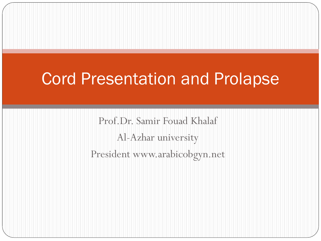### Cord Presentation and Prolapse

Prof.Dr. Samir Fouad Khalaf Al-Azhar university President www.arabicobgyn.net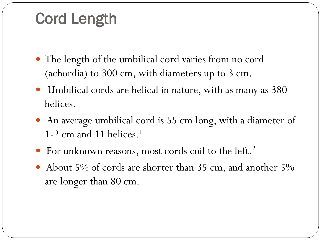### Cord Length

- The length of the umbilical cord varies from no cord (achordia) to 300 cm, with diameters up to 3 cm.
- Umbilical cords are helical in nature, with as many as 380 helices.
- An average umbilical cord is 55 cm long, with a diameter of 1-2 cm and 11 helices.<sup>1</sup>
- For unknown reasons, most cords coil to the left.<sup>2</sup>
- About 5% of cords are shorter than 35 cm, and another 5% are longer than 80 cm.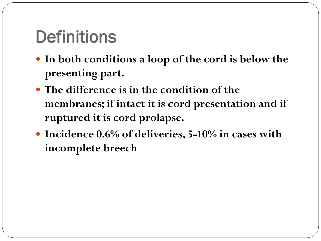# **Definitions**

- **In both conditions a loop of the cord is below the presenting part.**
- **The difference is in the condition of the membranes; if intact it is cord presentation and if ruptured it is cord prolapse.**
- **Incidence 0.6% of deliveries, 5-10% in cases with incomplete breech**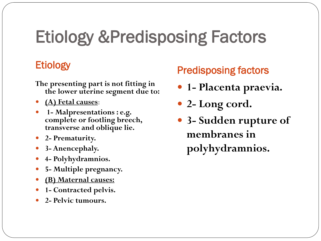### Etiology &Predisposing Factors

- **The presenting part is not fitting in the lower uterine segment due to:**
- **(A) Fetal causes**:
- **1- Malpresentations : e.g. complete or footling breech, transverse and oblique lie.**
- **2- Prematurity.**
- **3- Anencephaly.**
- **4- Polyhydramnios.**
- **5- Multiple pregnancy.**
- **(B) Maternal causes:**
- **1- Contracted pelvis.**
- **2- Pelvic tumours.**

### Etiology **Predisposing factors**

- **1- Placenta praevia.**
- **2- Long cord.**
- **3- Sudden rupture of membranes in polyhydramnios.**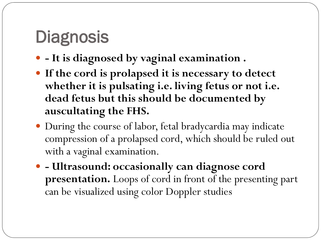# **Diagnosis**

- **- It is diagnosed by vaginal examination .**
- **If the cord is prolapsed it is necessary to detect whether it is pulsating i.e. living fetus or not i.e. dead fetus but this should be documented by auscultating the FHS.**
- During the course of labor, fetal bradycardia may indicate compression of a prolapsed cord, which should be ruled out with a vaginal examination.
- **- Ultrasound: occasionally can diagnose cord presentation.** Loops of cord in front of the presenting part can be visualized using color Doppler studies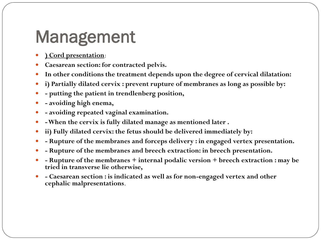### Management

- **) Cord presentation**:
- **Caesarean section: for contracted pelvis.**
- **In other conditions the treatment depends upon the degree of cervical dilatation:**
- **i) Partially dilated cervix : prevent rupture of membranes as long as possible by:**
- **- putting the patient in trendlenberg position,**
- **- avoiding high enema,**
- **- avoiding repeated vaginal examination.**
- **-When the cervix is fully dilated manage as mentioned later .**
- **ii) Fully dilated cervix: the fetus should be delivered immediately by:**
- **- Rupture of the membranes and forceps delivery : in engaged vertex presentation.**
- **- Rupture of the membranes and breech extraction: in breech presentation.**
- **- Rupture of the membranes + internal podalic version + breech extraction : may be tried in transverse lie otherwise,**
- **- Caesarean section : is indicated as well as for non-engaged vertex and other cephalic malpresentations**.